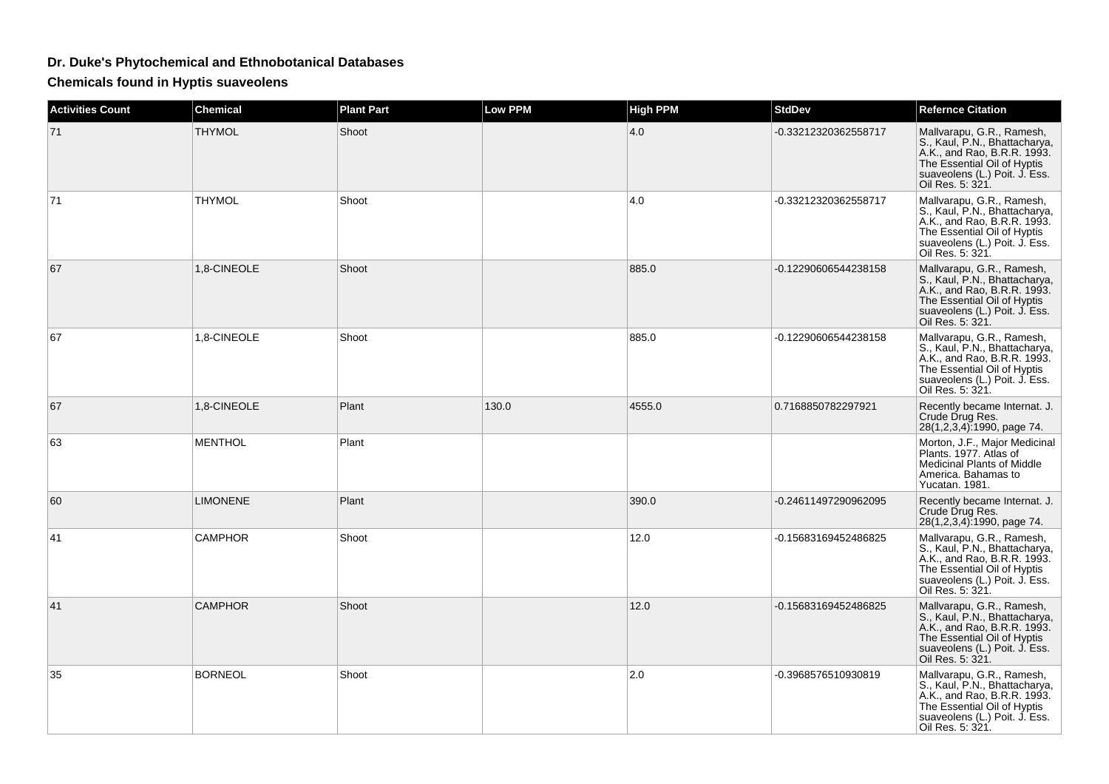## **Dr. Duke's Phytochemical and Ethnobotanical Databases**

**Chemicals found in Hyptis suaveolens**

| <b>Activities Count</b> | <b>Chemical</b> | <b>Plant Part</b> | <b>Low PPM</b> | <b>High PPM</b> | <b>StdDev</b>        | <b>Refernce Citation</b>                                                                                                                                                      |
|-------------------------|-----------------|-------------------|----------------|-----------------|----------------------|-------------------------------------------------------------------------------------------------------------------------------------------------------------------------------|
| 71                      | <b>THYMOL</b>   | Shoot             |                | 4.0             | -0.33212320362558717 | Mallvarapu, G.R., Ramesh,<br>S., Kaul, P.N., Bhattacharya,<br>A.K., and Rao, B.R.R. 1993.<br>The Essential Oil of Hyptis<br>suaveolens (L.) Poit. J. Ess.<br>Oil Res. 5: 321. |
| 71                      | <b>THYMOL</b>   | Shoot             |                | 4.0             | -0.33212320362558717 | Mallvarapu, G.R., Ramesh,<br>S., Kaul, P.N., Bhattacharya,<br>A.K., and Rao, B.R.R. 1993.<br>The Essential Oil of Hyptis<br>suaveolens (L.) Poit. J. Ess.<br>Oil Res. 5: 321. |
| 67                      | 1,8-CINEOLE     | Shoot             |                | 885.0           | -0.12290606544238158 | Mallvarapu, G.R., Ramesh,<br>S., Kaul, P.N., Bhattacharya,<br>A.K., and Rao, B.R.R. 1993.<br>The Essential Oil of Hyptis<br>suaveolens (L.) Poit. J. Ess.<br>Oil Res. 5: 321. |
| 67                      | 1,8-CINEOLE     | Shoot             |                | 885.0           | -0.12290606544238158 | Mallvarapu, G.R., Ramesh,<br>S., Kaul, P.N., Bhattacharya, A.K., and Rao, B.R.R. 1993.<br>The Essential Oil of Hyptis<br>suaveolens (L.) Poit. J. Ess.<br>Oil Res. 5: 321.    |
| 67                      | 1,8-CINEOLE     | Plant             | 130.0          | 4555.0          | 0.7168850782297921   | Recently became Internat. J.<br>Crude Drug Res.<br>28(1,2,3,4):1990, page 74.                                                                                                 |
| 63                      | <b>MENTHOL</b>  | Plant             |                |                 |                      | Morton, J.F., Major Medicinal<br>Plants, 1977. Atlas of<br>Medicinal Plants of Middle<br>America, Bahamas to<br>Yucatan. 1981.                                                |
| 60                      | <b>LIMONENE</b> | Plant             |                | 390.0           | -0.24611497290962095 | Recently became Internat. J.<br>Crude Drug Res.<br>28(1,2,3,4):1990, page 74.                                                                                                 |
| 41                      | <b>CAMPHOR</b>  | Shoot             |                | 12.0            | -0.15683169452486825 | Mallvarapu, G.R., Ramesh,<br>S., Kaul, P.N., Bhattacharya,<br>A.K., and Rao, B.R.R. 1993.<br>The Essential Oil of Hyptis<br>suaveolens (L.) Poit. J. Ess.<br>Oil Res. 5: 321. |
| 41                      | <b>CAMPHOR</b>  | Shoot             |                | 12.0            | -0.15683169452486825 | Mallvarapu, G.R., Ramesh,<br>S., Kaul, P.N., Bhattacharya,<br>A.K., and Rao, B.R.R. 1993.<br>The Essential Oil of Hyptis<br>suaveolens (L.) Poit. J. Ess.<br>Oil Res. 5: 321. |
| 35                      | <b>BORNEOL</b>  | Shoot             |                | 2.0             | -0.3968576510930819  | Mallvarapu, G.R., Ramesh,<br>S., Kaul, P.N., Bhattacharya,<br>A.K., and Rao, B.R.R. 1993.<br>The Essential Oil of Hyptis<br>suaveolens (L.) Poit. J. Ess.<br>Oil Res. 5: 321. |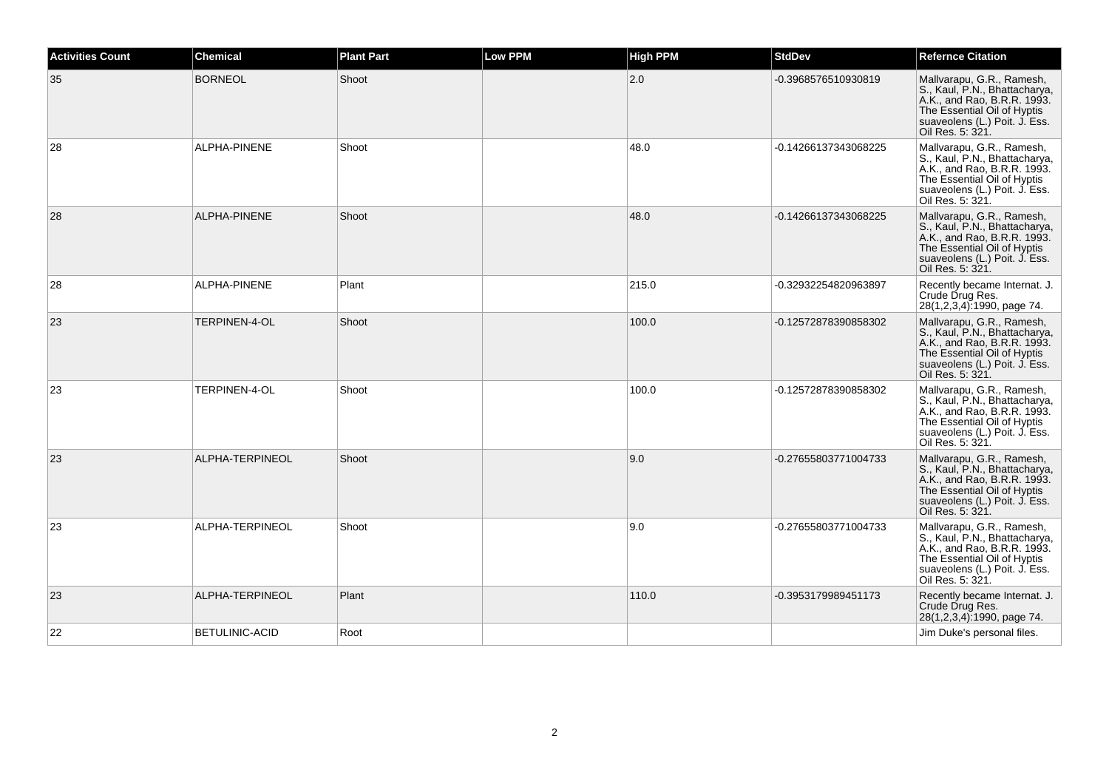| <b>Activities Count</b> | <b>Chemical</b>       | <b>Plant Part</b> | <b>Low PPM</b> | <b>High PPM</b> | <b>StdDev</b>        | <b>Refernce Citation</b>                                                                                                                                                      |
|-------------------------|-----------------------|-------------------|----------------|-----------------|----------------------|-------------------------------------------------------------------------------------------------------------------------------------------------------------------------------|
| 35                      | <b>BORNEOL</b>        | Shoot             |                | 2.0             | -0.3968576510930819  | Mallvarapu, G.R., Ramesh,<br>S., Kaul, P.N., Bhattacharya,<br>A.K., and Rao, B.R.R. 1993.<br>The Essential Oil of Hyptis<br>suaveolens (L.) Poit. J. Ess.<br>Oil Res. 5: 321. |
| 28                      | ALPHA-PINENE          | Shoot             |                | 48.0            | -0.14266137343068225 | Mallvarapu, G.R., Ramesh,<br>S., Kaul, P.N., Bhattacharya,<br>A.K., and Rao, B.R.R. 1993.<br>The Essential Oil of Hyptis<br>suaveolens (L.) Poit. J. Ess.<br>Oil Res. 5: 321. |
| 28                      | ALPHA-PINENE          | Shoot             |                | 48.0            | -0.14266137343068225 | Mallvarapu, G.R., Ramesh,<br>S., Kaul, P.N., Bhattacharya,<br>A.K., and Rao, B.R.R. 1993.<br>The Essential Oil of Hyptis<br>suaveolens (L.) Poit. J. Ess.<br>Oil Res. 5: 321. |
| 28                      | ALPHA-PINENE          | Plant             |                | 215.0           | -0.32932254820963897 | Recently became Internat. J.<br>Crude Drug Res.<br>28(1,2,3,4):1990, page 74.                                                                                                 |
| 23                      | TERPINEN-4-OL         | Shoot             |                | 100.0           | -0.12572878390858302 | Mallvarapu, G.R., Ramesh,<br>S., Kaul, P.N., Bhattacharya,<br>A.K., and Rao, B.R.R. 1993.<br>The Essential Oil of Hyptis<br>suaveolens (L.) Poit. J. Ess.<br>Oil Res. 5: 321. |
| 23                      | TERPINEN-4-OL         | Shoot             |                | 100.0           | -0.12572878390858302 | Mallvarapu, G.R., Ramesh,<br>S., Kaul, P.N., Bhattacharya,<br>A.K., and Rao, B.R.R. 1993.<br>The Essential Oil of Hyptis<br>suaveolens (L.) Poit. J. Ess.<br>Oil Res. 5: 321. |
| 23                      | ALPHA-TERPINEOL       | Shoot             |                | 9.0             | -0.27655803771004733 | Mallvarapu, G.R., Ramesh,<br>S., Kaul, P.N., Bhattacharya,<br>A.K., and Rao, B.R.R. 1993.<br>The Essential Oil of Hyptis<br>suaveolens (L.) Poit. J. Ess.<br>Oil Res. 5: 321. |
| 23                      | ALPHA-TERPINEOL       | Shoot             |                | 9.0             | -0.27655803771004733 | Mallvarapu, G.R., Ramesh,<br>S., Kaul, P.N., Bhattacharya,<br>A.K., and Rao, B.R.R. 1993.<br>The Essential Oil of Hyptis<br>suaveolens (L.) Poit. J. Ess.<br>Oil Res. 5: 321. |
| 23                      | ALPHA-TERPINEOL       | Plant             |                | 110.0           | -0.3953179989451173  | Recently became Internat. J.<br>Crude Drug Res.<br>28(1,2,3,4):1990, page 74.                                                                                                 |
| 22                      | <b>BETULINIC-ACID</b> | Root              |                |                 |                      | Jim Duke's personal files.                                                                                                                                                    |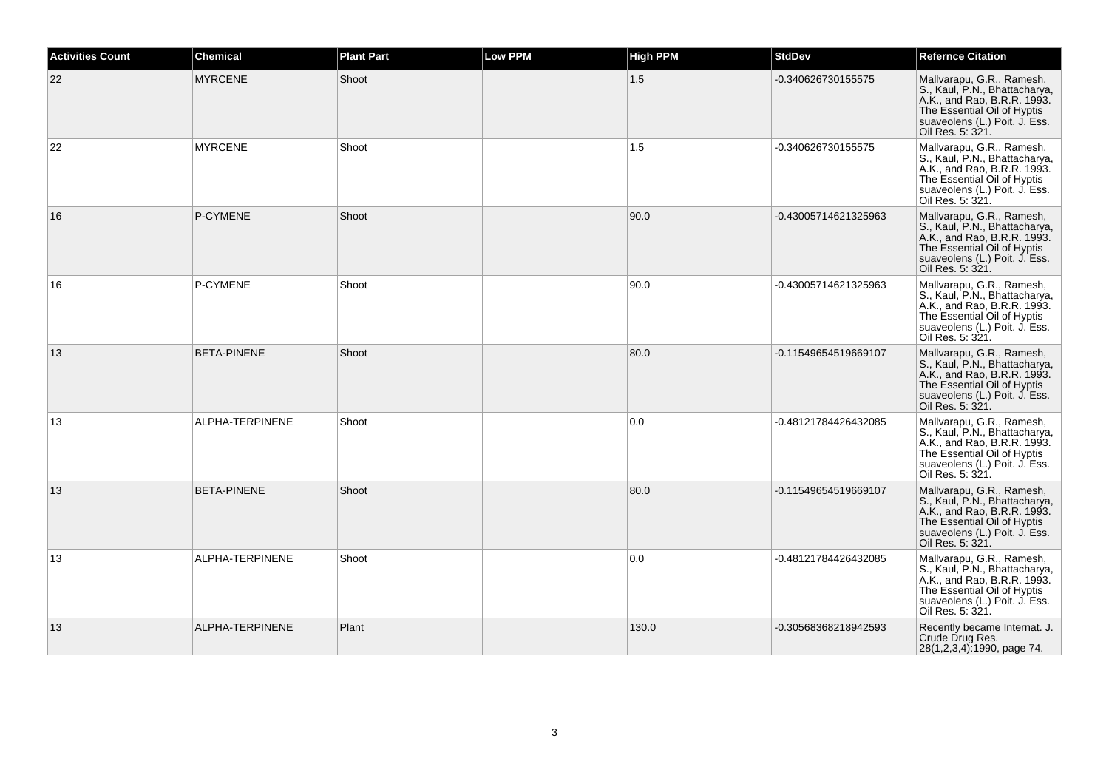| <b>Activities Count</b> | <b>Chemical</b>    | <b>Plant Part</b> | Low PPM | <b>High PPM</b> | <b>StdDev</b>        | <b>Refernce Citation</b>                                                                                                                                                      |
|-------------------------|--------------------|-------------------|---------|-----------------|----------------------|-------------------------------------------------------------------------------------------------------------------------------------------------------------------------------|
| 22                      | <b>MYRCENE</b>     | Shoot             |         | 1.5             | -0.340626730155575   | Mallvarapu, G.R., Ramesh,<br>S., Kaul, P.N., Bhattacharya,<br>A.K., and Rao, B.R.R. 1993.<br>The Essential Oil of Hyptis<br>suaveolens (L.) Poit. J. Ess.<br>Oil Res. 5: 321. |
| 22                      | <b>MYRCENE</b>     | Shoot             |         | 1.5             | -0.340626730155575   | Mallvarapu, G.R., Ramesh,<br>S., Kaul, P.N., Bhattacharya,<br>A.K., and Rao, B.R.R. 1993.<br>The Essential Oil of Hyptis<br>suaveolens (L.) Poit. J. Ess.<br>Oil Res. 5: 321. |
| 16                      | P-CYMENE           | Shoot             |         | 90.0            | -0.43005714621325963 | Mallvarapu, G.R., Ramesh,<br>S., Kaul, P.N., Bhattacharya,<br>A.K., and Rao, B.R.R. 1993.<br>The Essential Oil of Hyptis<br>suaveolens (L.) Poit. J. Ess.<br>Oil Res. 5: 321. |
| 16                      | P-CYMENE           | Shoot             |         | 90.0            | -0.43005714621325963 | Mallvarapu, G.R., Ramesh,<br>S., Kaul, P.N., Bhattacharya,<br>A.K., and Rao, B.R.R. 1993.<br>The Essential Oil of Hyptis<br>suaveolens (L.) Poit. J. Ess.<br>Oil Res. 5: 321. |
| 13                      | <b>BETA-PINENE</b> | Shoot             |         | 80.0            | -0.11549654519669107 | Mallvarapu, G.R., Ramesh,<br>S., Kaul, P.N., Bhattacharya,<br>A.K., and Rao, B.R.R. 1993.<br>The Essential Oil of Hyptis<br>suaveolens (L.) Poit. J. Ess.<br>Oil Res. 5: 321. |
| 13                      | ALPHA-TERPINENE    | Shoot             |         | 0.0             | -0.48121784426432085 | Mallvarapu, G.R., Ramesh,<br>S., Kaul, P.N., Bhattacharya,<br>A.K., and Rao, B.R.R. 1993.<br>The Essential Oil of Hyptis<br>suaveolens (L.) Poit. J. Ess.<br>Oil Res. 5: 321. |
| 13                      | <b>BETA-PINENE</b> | Shoot             |         | 80.0            | -0.11549654519669107 | Mallvarapu, G.R., Ramesh,<br>S., Kaul, P.N., Bhattacharya,<br>A.K., and Rao, B.R.R. 1993.<br>The Essential Oil of Hyptis<br>suaveolens (L.) Poit. J. Ess.<br>Oil Res. 5: 321. |
| 13                      | ALPHA-TERPINENE    | Shoot             |         | 0.0             | -0.48121784426432085 | Mallvarapu, G.R., Ramesh,<br>S., Kaul, P.N., Bhattacharya,<br>A.K., and Rao, B.R.R. 1993.<br>The Essential Oil of Hyptis<br>suaveolens (L.) Poit. J. Ess.<br>Oil Res. 5: 321. |
| 13                      | ALPHA-TERPINENE    | Plant             |         | 130.0           | -0.30568368218942593 | Recently became Internat. J.<br>Crude Drug Res.<br>28(1,2,3,4):1990, page 74.                                                                                                 |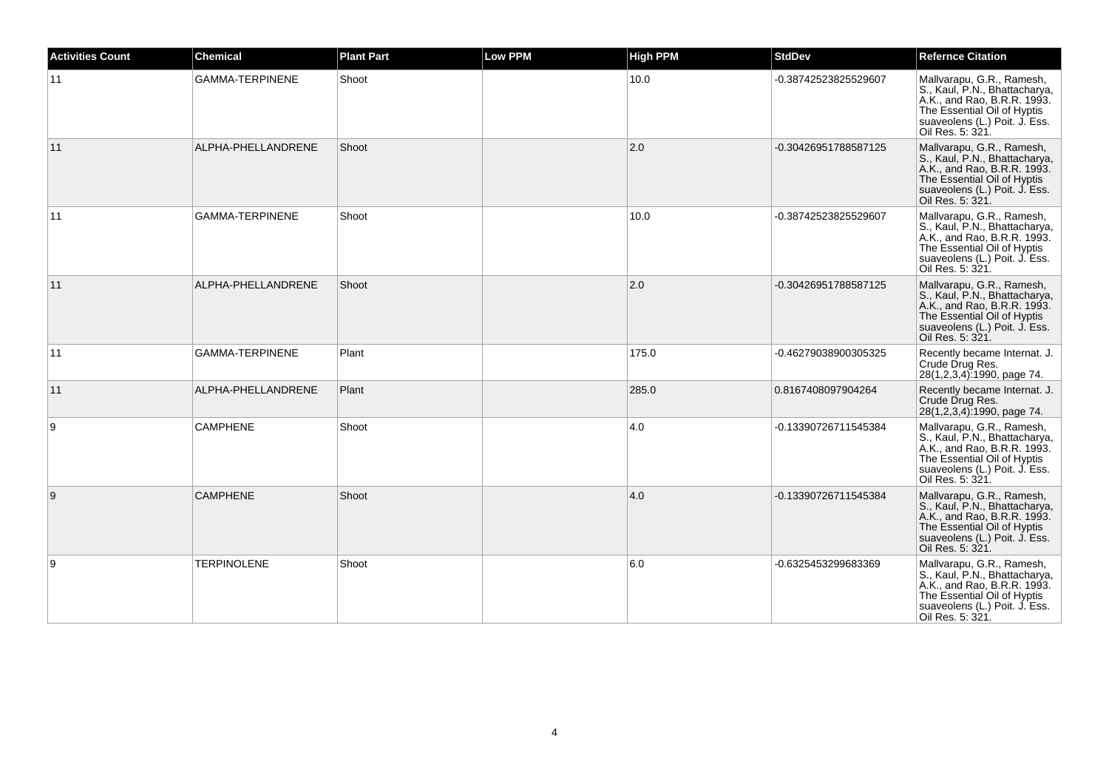| <b>Activities Count</b> | <b>Chemical</b>        | <b>Plant Part</b> | <b>Low PPM</b> | <b>High PPM</b> | <b>StdDev</b>        | <b>Refernce Citation</b>                                                                                                                                                      |
|-------------------------|------------------------|-------------------|----------------|-----------------|----------------------|-------------------------------------------------------------------------------------------------------------------------------------------------------------------------------|
| 11                      | <b>GAMMA-TERPINENE</b> | Shoot             |                | 10.0            | -0.38742523825529607 | Mallvarapu, G.R., Ramesh,<br>S., Kaul, P.N., Bhattacharya,<br>A.K., and Rao, B.R.R. 1993.<br>The Essential Oil of Hyptis<br>suaveolens (L.) Poit. J. Ess.<br>Oil Res. 5: 321. |
| 11                      | ALPHA-PHELLANDRENE     | Shoot             |                | 2.0             | -0.30426951788587125 | Mallvarapu, G.R., Ramesh,<br>S., Kaul, P.N., Bhattacharya,<br>A.K., and Rao, B.R.R. 1993.<br>The Essential Oil of Hyptis<br>suaveolens (L.) Poit. J. Ess.<br>Oil Res. 5: 321. |
| 11                      | <b>GAMMA-TERPINENE</b> | Shoot             |                | 10.0            | -0.38742523825529607 | Mallvarapu, G.R., Ramesh,<br>S., Kaul, P.N., Bhattacharya,<br>A.K., and Rao, B.R.R. 1993.<br>The Essential Oil of Hyptis<br>suaveolens (L.) Poit. J. Ess.<br>Oil Res. 5: 321. |
| 11                      | ALPHA-PHELLANDRENE     | Shoot             |                | 2.0             | -0.30426951788587125 | Mallvarapu, G.R., Ramesh,<br>S., Kaul, P.N., Bhattacharya,<br>A.K., and Rao, B.R.R. 1993.<br>The Essential Oil of Hyptis<br>suaveolens (L.) Poit. J. Ess.<br>Oil Res. 5: 321. |
| 11                      | <b>GAMMA-TERPINENE</b> | Plant             |                | 175.0           | -0.46279038900305325 | Recently became Internat. J.<br>Crude Drug Res.<br>28(1,2,3,4):1990, page 74.                                                                                                 |
| 11                      | ALPHA-PHELLANDRENE     | Plant             |                | 285.0           | 0.8167408097904264   | Recently became Internat. J.<br>Crude Drug Res.<br>28(1,2,3,4):1990, page 74.                                                                                                 |
| 9                       | <b>CAMPHENE</b>        | Shoot             |                | 4.0             | -0.13390726711545384 | Mallvarapu, G.R., Ramesh,<br>S., Kaul, P.N., Bhattacharya,<br>A.K., and Rao, B.R.R. 1993.<br>The Essential Oil of Hyptis<br>suaveolens (L.) Poit. J. Ess.<br>Oil Res. 5: 321. |
| 9                       | <b>CAMPHENE</b>        | Shoot             |                | 4.0             | -0.13390726711545384 | Mallvarapu, G.R., Ramesh,<br>S., Kaul, P.N., Bhattacharya,<br>A.K., and Rao, B.R.R. 1993.<br>The Essential Oil of Hyptis<br>suaveolens (L.) Poit. J. Ess.<br>Oil Res. 5: 321. |
| 9                       | <b>TERPINOLENE</b>     | Shoot             |                | 6.0             | -0.6325453299683369  | Mallvarapu, G.R., Ramesh,<br>S., Kaul, P.N., Bhattacharya,<br>A.K., and Rao, B.R.R. 1993.<br>The Essential Oil of Hyptis<br>suaveolens (L.) Poit. J. Ess.<br>Oil Res. 5: 321. |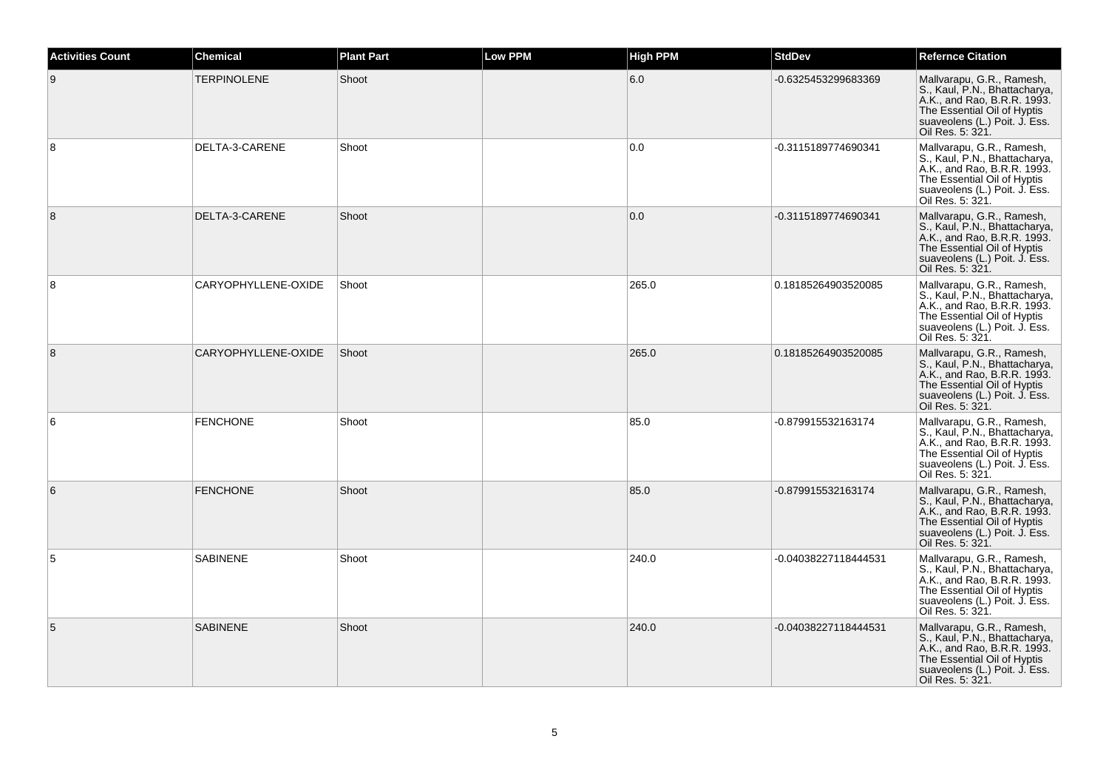| <b>Activities Count</b> | <b>Chemical</b>     | <b>Plant Part</b> | <b>Low PPM</b> | <b>High PPM</b> | <b>StdDev</b>        | <b>Refernce Citation</b>                                                                                                                                                      |
|-------------------------|---------------------|-------------------|----------------|-----------------|----------------------|-------------------------------------------------------------------------------------------------------------------------------------------------------------------------------|
| 9                       | <b>TERPINOLENE</b>  | Shoot             |                | 6.0             | -0.6325453299683369  | Mallvarapu, G.R., Ramesh,<br>S., Kaul, P.N., Bhattacharya,<br>A.K., and Rao, B.R.R. 1993.<br>The Essential Oil of Hyptis<br>suaveolens (L.) Poit. J. Ess.<br>Oil Res. 5: 321. |
| 8                       | DELTA-3-CARENE      | Shoot             |                | 0.0             | -0.3115189774690341  | Mallvarapu, G.R., Ramesh,<br>S., Kaul, P.N., Bhattacharya,<br>A.K., and Rao, B.R.R. 1993.<br>The Essential Oil of Hyptis<br>suaveolens (L.) Poit. J. Ess.<br>Oil Res. 5: 321. |
| 8                       | DELTA-3-CARENE      | Shoot             |                | 0.0             | -0.3115189774690341  | Mallvarapu, G.R., Ramesh,<br>S., Kaul, P.N., Bhattacharya,<br>A.K., and Rao, B.R.R. 1993.<br>The Essential Oil of Hyptis<br>suaveolens (L.) Poit. J. Ess.<br>Oil Res. 5: 321. |
| 8                       | CARYOPHYLLENE-OXIDE | Shoot             |                | 265.0           | 0.18185264903520085  | Mallvarapu, G.R., Ramesh,<br>S., Kaul, P.N., Bhattacharya, A.K., and Rao, B.R.R. 1993.<br>The Essential Oil of Hyptis<br>suaveolens (L.) Poit. J. Ess.<br>Oil Res. 5: 321.    |
| 8                       | CARYOPHYLLENE-OXIDE | Shoot             |                | 265.0           | 0.18185264903520085  | Mallvarapu, G.R., Ramesh,<br>S., Kaul, P.N., Bhattacharya,<br>A.K., and Rao, B.R.R. 1993.<br>The Essential Oil of Hyptis<br>suaveolens (L.) Poit. J. Ess.<br>Oil Res. 5: 321. |
| 6                       | <b>FENCHONE</b>     | Shoot             |                | 85.0            | -0.879915532163174   | Mallvarapu, G.R., Ramesh,<br>S., Kaul, P.N., Bhattacharya,<br>A.K., and Rao, B.R.R. 1993.<br>The Essential Oil of Hyptis<br>suaveolens (L.) Poit. J. Ess.<br>Oil Res. 5: 321. |
| 6                       | <b>FENCHONE</b>     | Shoot             |                | 85.0            | -0.879915532163174   | Mallvarapu, G.R., Ramesh,<br>S., Kaul, P.N., Bhattacharya,<br>A.K., and Rao, B.R.R. 1993.<br>The Essential Oil of Hyptis<br>suaveolens (L.) Poit. J. Ess.<br>Oil Res. 5: 321. |
| 5                       | <b>SABINENE</b>     | Shoot             |                | 240.0           | -0.04038227118444531 | Mallvarapu, G.R., Ramesh,<br>S., Kaul, P.N., Bhattacharya,<br>A.K., and Rao, B.R.R. 1993.<br>The Essential Oil of Hyptis<br>suaveolens (L.) Poit. J. Ess.<br>Oil Res. 5: 321. |
| 5                       | <b>SABINENE</b>     | Shoot             |                | 240.0           | -0.04038227118444531 | Mallvarapu, G.R., Ramesh,<br>S., Kaul, P.N., Bhattacharya,<br>A.K., and Rao, B.R.R. 1993.<br>The Essential Oil of Hyptis<br>suaveolens (L.) Poit. J. Ess.<br>Oil Res. 5: 321. |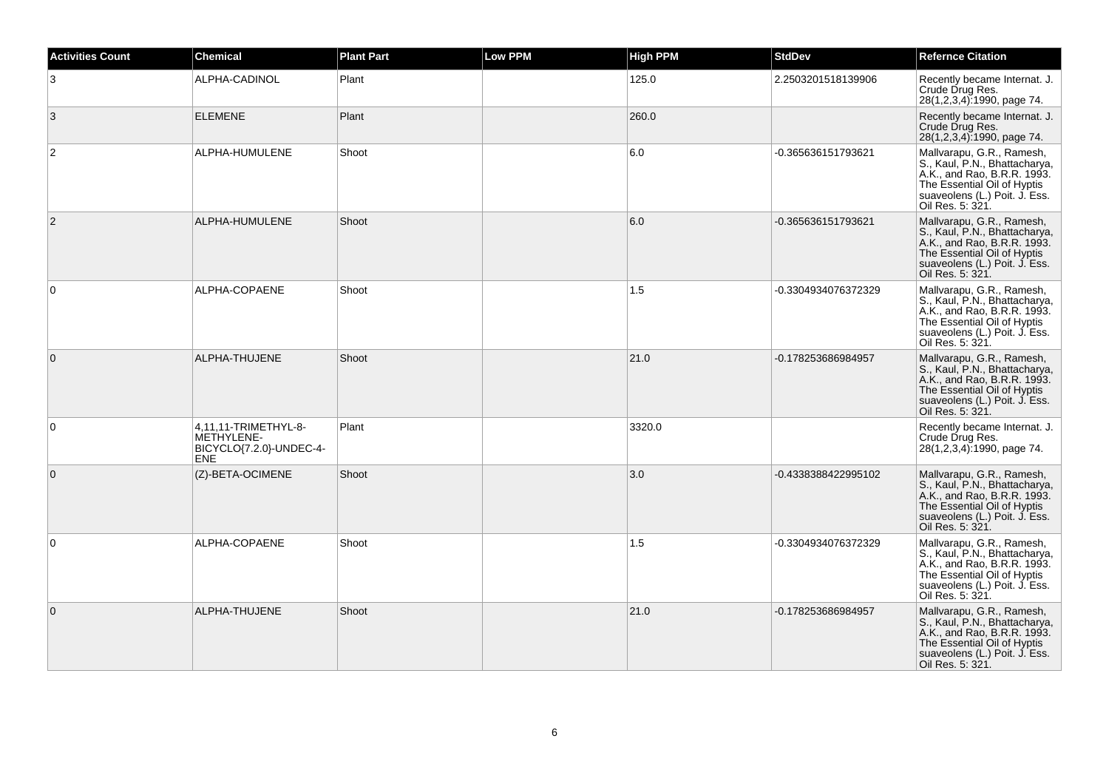| <b>Activities Count</b> | <b>Chemical</b>                                                             | <b>Plant Part</b> | <b>Low PPM</b> | <b>High PPM</b> | <b>StdDev</b>       | <b>Refernce Citation</b>                                                                                                                                                      |
|-------------------------|-----------------------------------------------------------------------------|-------------------|----------------|-----------------|---------------------|-------------------------------------------------------------------------------------------------------------------------------------------------------------------------------|
| 3                       | ALPHA-CADINOL                                                               | Plant             |                | 125.0           | 2.2503201518139906  | Recently became Internat. J.<br>Crude Drug Res.<br>28(1,2,3,4):1990, page 74.                                                                                                 |
| 3                       | <b>ELEMENE</b>                                                              | Plant             |                | 260.0           |                     | Recently became Internat. J.<br>Crude Drug Res.<br>28(1,2,3,4):1990, page 74.                                                                                                 |
| $\overline{2}$          | ALPHA-HUMULENE                                                              | Shoot             |                | 6.0             | -0.365636151793621  | Mallvarapu, G.R., Ramesh,<br>S., Kaul, P.N., Bhattacharya,<br>A.K., and Rao, B.R.R. 1993.<br>The Essential Oil of Hyptis<br>suaveolens (L.) Poit. J. Ess.<br>Oil Res. 5: 321. |
| $\overline{2}$          | ALPHA-HUMULENE                                                              | Shoot             |                | 6.0             | -0.365636151793621  | Mallvarapu, G.R., Ramesh,<br>S., Kaul, P.N., Bhattacharya,<br>A.K., and Rao, B.R.R. 1993.<br>The Essential Oil of Hyptis<br>suaveolens (L.) Poit. J. Ess.<br>Oil Res. 5: 321. |
| $\mathbf 0$             | ALPHA-COPAENE                                                               | Shoot             |                | 1.5             | -0.3304934076372329 | Mallvarapu, G.R., Ramesh,<br>S., Kaul, P.N., Bhattacharya,<br>A.K., and Rao, B.R.R. 1993.<br>The Essential Oil of Hyptis<br>suaveolens (L.) Poit. J. Ess.<br>Oil Res. 5: 321. |
| $\overline{0}$          | ALPHA-THUJENE                                                               | Shoot             |                | 21.0            | -0.178253686984957  | Mallvarapu, G.R., Ramesh,<br>S., Kaul, P.N., Bhattacharya,<br>A.K., and Rao, B.R.R. 1993.<br>The Essential Oil of Hyptis<br>suaveolens (L.) Poit. J. Ess.<br>Oil Res. 5: 321. |
| $\Omega$                | 4,11,11-TRIMETHYL-8-<br>METHYLENE-<br>BICYCLO{7.2.0}-UNDEC-4-<br><b>ENE</b> | Plant             |                | 3320.0          |                     | Recently became Internat. J.<br>Crude Drug Res.<br>28(1,2,3,4):1990, page 74.                                                                                                 |
| $\overline{0}$          | (Z)-BETA-OCIMENE                                                            | Shoot             |                | 3.0             | -0.4338388422995102 | Mallvarapu, G.R., Ramesh,<br>S., Kaul, P.N., Bhattacharya,<br>A.K., and Rao, B.R.R. 1993.<br>The Essential Oil of Hyptis<br>suaveolens (L.) Poit. J. Ess.<br>Oil Res. 5: 321. |
| $\mathbf 0$             | ALPHA-COPAENE                                                               | Shoot             |                | 1.5             | -0.3304934076372329 | Mallvarapu, G.R., Ramesh,<br>S., Kaul, P.N., Bhattacharya,<br>A.K., and Rao, B.R.R. 1993.<br>The Essential Oil of Hyptis<br>suaveolens (L.) Poit. J. Ess.<br>Oil Res. 5: 321. |
| $\overline{0}$          | ALPHA-THUJENE                                                               | Shoot             |                | 21.0            | -0.178253686984957  | Mallvarapu, G.R., Ramesh,<br>S., Kaul, P.N., Bhattacharya,<br>A.K., and Rao, B.R.R. 1993.<br>The Essential Oil of Hyptis<br>suaveolens (L.) Poit. J. Ess.<br>Oil Res. 5: 321. |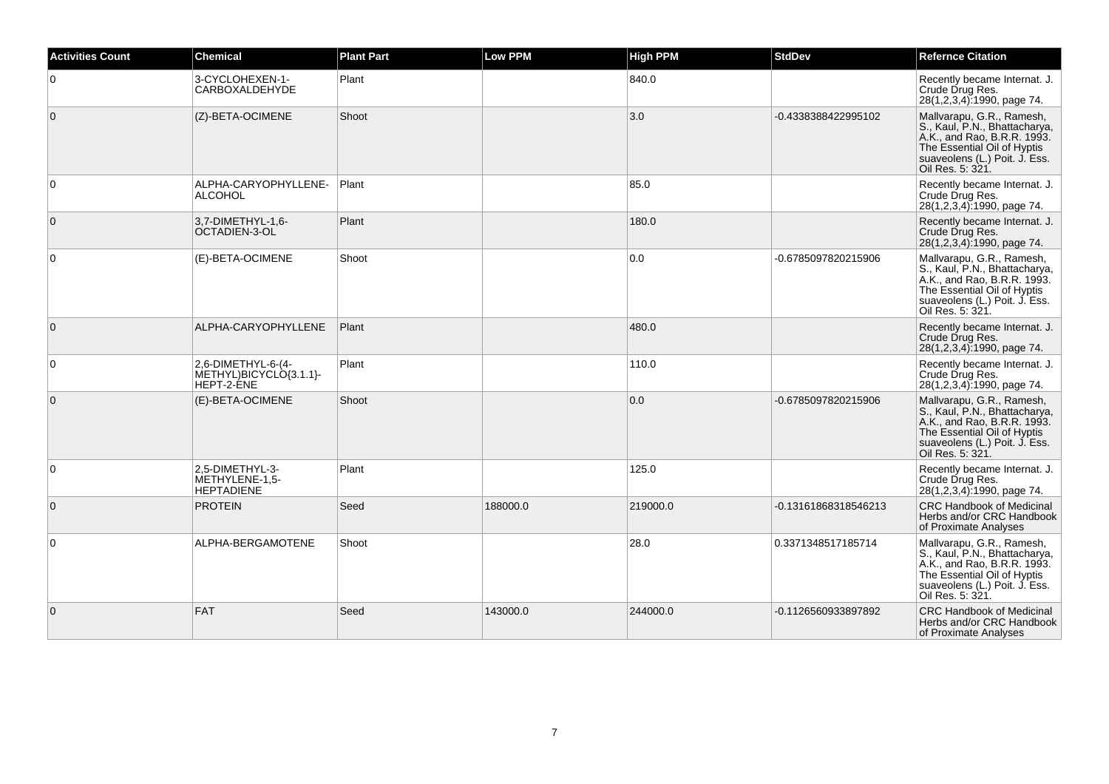| <b>Activities Count</b> | Chemical                                                   | <b>Plant Part</b> | <b>Low PPM</b> | <b>High PPM</b> | <b>StdDev</b>        | <b>Refernce Citation</b>                                                                                                                                                      |
|-------------------------|------------------------------------------------------------|-------------------|----------------|-----------------|----------------------|-------------------------------------------------------------------------------------------------------------------------------------------------------------------------------|
| $\overline{0}$          | 3-CYCLOHEXEN-1-<br>CARBOXALDEHYDE                          | Plant             |                | 840.0           |                      | Recently became Internat. J.<br>Crude Drug Res.<br>28(1,2,3,4):1990, page 74.                                                                                                 |
| $\overline{0}$          | (Z)-BETA-OCIMENE                                           | Shoot             |                | 3.0             | -0.4338388422995102  | Mallvarapu, G.R., Ramesh,<br>S., Kaul, P.N., Bhattacharya,<br>A.K., and Rao, B.R.R. 1993.<br>The Essential Oil of Hyptis<br>suaveolens (L.) Poit. J. Ess.<br>Oil Res. 5: 321. |
| $\overline{0}$          | ALPHA-CARYOPHYLLENE-<br><b>ALCOHOL</b>                     | Plant             |                | 85.0            |                      | Recently became Internat. J.<br>Crude Drug Res.<br>28(1,2,3,4):1990, page 74.                                                                                                 |
| $\overline{0}$          | 3,7-DIMETHYL-1,6-<br>OCTADIEN-3-OL                         | Plant             |                | 180.0           |                      | Recently became Internat, J.<br>Crude Drug Res.<br>28(1,2,3,4):1990, page 74.                                                                                                 |
| $\Omega$                | (E)-BETA-OCIMENE                                           | Shoot             |                | 0.0             | -0.6785097820215906  | Mallvarapu, G.R., Ramesh,<br>S., Kaul, P.N., Bhattacharya,<br>A.K., and Rao, B.R.R. 1993.<br>The Essential Oil of Hyptis<br>suaveolens (L.) Poit. J. Ess.<br>Oil Res. 5: 321. |
| $\overline{0}$          | ALPHA-CARYOPHYLLENE                                        | Plant             |                | 480.0           |                      | Recently became Internat. J.<br>Crude Drug Res.<br>28(1,2,3,4):1990, page 74.                                                                                                 |
| 0                       | 2,6-DIMETHYL-6-(4-<br>METHYL)BICYCLO{3.1.1}-<br>HEPT-2-ENE | Plant             |                | 110.0           |                      | Recently became Internat. J.<br>Crude Drug Res.<br>28(1,2,3,4):1990, page 74.                                                                                                 |
| $\overline{0}$          | (E)-BETA-OCIMENE                                           | Shoot             |                | 0.0             | -0.6785097820215906  | Mallvarapu, G.R., Ramesh,<br>S., Kaul, P.N., Bhattacharya,<br>A.K., and Rao, B.R.R. 1993.<br>The Essential Oil of Hyptis<br>suaveolens (L.) Poit. J. Ess.<br>Oil Res. 5: 321. |
| $\overline{0}$          | 2,5-DIMETHYL-3-<br>METHYLENE-1,5-<br><b>HEPTADIENE</b>     | Plant             |                | 125.0           |                      | Recently became Internat. J.<br>Crude Drug Res.<br>28(1,2,3,4):1990, page 74.                                                                                                 |
| $\overline{0}$          | <b>PROTEIN</b>                                             | Seed              | 188000.0       | 219000.0        | -0.13161868318546213 | <b>CRC Handbook of Medicinal</b><br>Herbs and/or CRC Handbook<br>of Proximate Analyses                                                                                        |
| $\mathbf 0$             | ALPHA-BERGAMOTENE                                          | Shoot             |                | 28.0            | 0.3371348517185714   | Mallvarapu, G.R., Ramesh,<br>S., Kaul, P.N., Bhattacharya,<br>A.K., and Rao, B.R.R. 1993.<br>The Essential Oil of Hyptis<br>suaveolens (L.) Poit. J. Ess.<br>Oil Res. 5: 321. |
| $\overline{0}$          | FAT                                                        | Seed              | 143000.0       | 244000.0        | -0.1126560933897892  | <b>CRC Handbook of Medicinal</b><br>Herbs and/or CRC Handbook<br>of Proximate Analyses                                                                                        |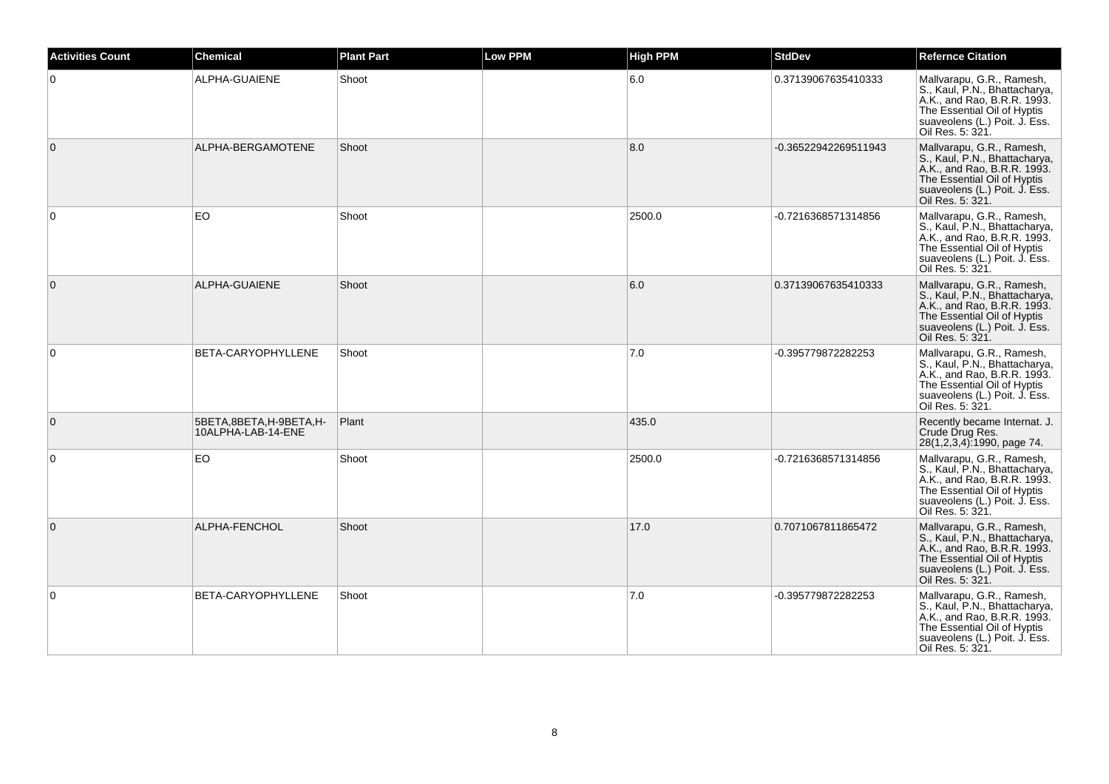| <b>Activities Count</b> | <b>Chemical</b>                              | <b>Plant Part</b> | <b>Low PPM</b> | <b>High PPM</b> | <b>StdDev</b>        | <b>Refernce Citation</b>                                                                                                                                                      |
|-------------------------|----------------------------------------------|-------------------|----------------|-----------------|----------------------|-------------------------------------------------------------------------------------------------------------------------------------------------------------------------------|
| $\overline{0}$          | ALPHA-GUAIENE                                | Shoot             |                | 6.0             | 0.37139067635410333  | Mallvarapu, G.R., Ramesh,<br>S., Kaul, P.N., Bhattacharya,<br>A.K., and Rao, B.R.R. 1993.<br>The Essential Oil of Hyptis<br>suaveolens (L.) Poit. J. Ess.<br>Oil Res. 5: 321. |
| $\overline{0}$          | ALPHA-BERGAMOTENE                            | Shoot             |                | 8.0             | -0.36522942269511943 | Mallvarapu, G.R., Ramesh,<br>S., Kaul, P.N., Bhattacharya,<br>A.K., and Rao, B.R.R. 1993.<br>The Essential Oil of Hyptis<br>suaveolens (L.) Poit. J. Ess.<br>Oil Res. 5: 321. |
| $\overline{0}$          | EO.                                          | Shoot             |                | 2500.0          | -0.7216368571314856  | Mallvarapu, G.R., Ramesh,<br>S., Kaul, P.N., Bhattacharya,<br>A.K., and Rao, B.R.R. 1993.<br>The Essential Oil of Hyptis<br>suaveolens (L.) Poit. J. Ess.<br>Oil Res. 5: 321. |
| $\overline{0}$          | ALPHA-GUAIENE                                | Shoot             |                | 6.0             | 0.37139067635410333  | Mallvarapu, G.R., Ramesh,<br>S., Kaul, P.N., Bhattacharya,<br>A.K., and Rao, B.R.R. 1993.<br>The Essential Oil of Hyptis<br>suaveolens (L.) Poit. J. Ess.<br>Oil Res. 5: 321. |
| $\overline{0}$          | BETA-CARYOPHYLLENE                           | Shoot             |                | 7.0             | -0.395779872282253   | Mallvarapu, G.R., Ramesh,<br>S., Kaul, P.N., Bhattacharya, A.K., and Rao, B.R.R. 1993.<br>The Essential Oil of Hyptis<br>suaveolens (L.) Poit. J. Ess.<br>Oil Res. 5: 321.    |
| $\overline{0}$          | 5BETA,8BETA,H-9BETA,H-<br>10ALPHA-LAB-14-ENE | Plant             |                | 435.0           |                      | Recently became Internat. J.<br>Crude Drug Res.<br>28(1,2,3,4):1990, page 74.                                                                                                 |
| $\overline{0}$          | EO                                           | Shoot             |                | 2500.0          | -0.7216368571314856  | Mallvarapu, G.R., Ramesh,<br>S., Kaul, P.N., Bhattacharya,<br>A.K., and Rao, B.R.R. 1993.<br>The Essential Oil of Hyptis<br>suaveolens (L.) Poit. J. Ess.<br>Oil Res. 5: 321. |
| $\overline{0}$          | ALPHA-FENCHOL                                | Shoot             |                | 17.0            | 0.7071067811865472   | Mallvarapu, G.R., Ramesh,<br>S., Kaul, P.N., Bhattacharya,<br>A.K., and Rao, B.R.R. 1993.<br>The Essential Oil of Hyptis<br>suaveolens (L.) Poit. J. Ess.<br>Oil Res. 5: 321. |
| $\overline{0}$          | BETA-CARYOPHYLLENE                           | Shoot             |                | 7.0             | -0.395779872282253   | Mallvarapu, G.R., Ramesh,<br>S., Kaul, P.N., Bhattacharya,<br>A.K., and Rao, B.R.R. 1993.<br>The Essential Oil of Hyptis<br>suaveolens (L.) Poit. J. Ess.<br>Oil Res. 5: 321. |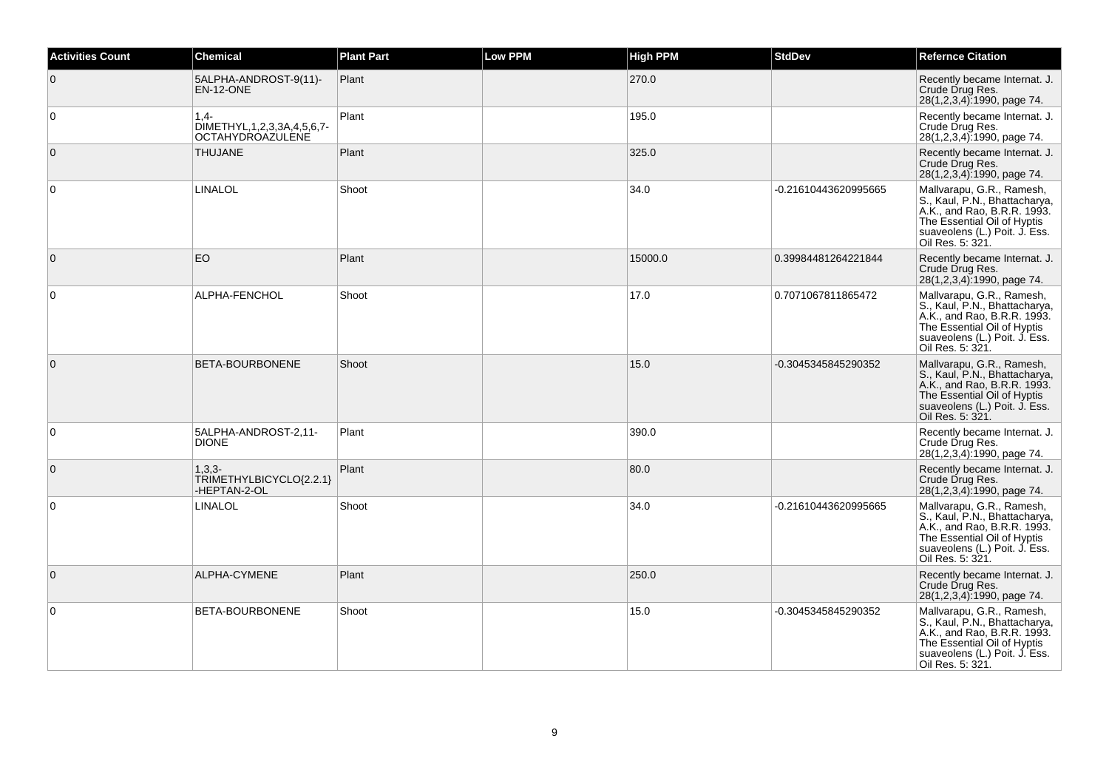| <b>Activities Count</b> | <b>Chemical</b>                                                          | <b>Plant Part</b> | <b>Low PPM</b> | <b>High PPM</b> | <b>StdDev</b>        | <b>Refernce Citation</b>                                                                                                                                                      |
|-------------------------|--------------------------------------------------------------------------|-------------------|----------------|-----------------|----------------------|-------------------------------------------------------------------------------------------------------------------------------------------------------------------------------|
| $\overline{0}$          | 5ALPHA-ANDROST-9(11)-<br>EN-12-ONE                                       | Plant             |                | 270.0           |                      | Recently became Internat. J.<br>Crude Drug Res.<br>28(1,2,3,4):1990, page 74.                                                                                                 |
| $\overline{0}$          | $1.4 -$<br>DIMETHYL, 1, 2, 3, 3A, 4, 5, 6, 7-<br><b>OCTAHYDROAZULENE</b> | Plant             |                | 195.0           |                      | Recently became Internat. J.<br>Crude Drug Res.<br>28(1,2,3,4):1990, page 74.                                                                                                 |
| $\overline{0}$          | <b>THUJANE</b>                                                           | Plant             |                | 325.0           |                      | Recently became Internat. J.<br>Crude Drug Res.<br>28(1,2,3,4):1990, page 74.                                                                                                 |
| $\overline{0}$          | <b>LINALOL</b>                                                           | Shoot             |                | 34.0            | -0.21610443620995665 | Mallvarapu, G.R., Ramesh,<br>S., Kaul, P.N., Bhattacharya,<br>A.K., and Rao, B.R.R. 1993.<br>The Essential Oil of Hyptis<br>suaveolens (L.) Poit. J. Ess.<br>Oil Res. 5: 321. |
| $\overline{0}$          | EO                                                                       | Plant             |                | 15000.0         | 0.39984481264221844  | Recently became Internat. J.<br>Crude Drug Res.<br>28(1,2,3,4):1990, page 74.                                                                                                 |
| $\overline{0}$          | ALPHA-FENCHOL                                                            | Shoot             |                | 17.0            | 0.7071067811865472   | Mallvarapu, G.R., Ramesh,<br>S., Kaul, P.N., Bhattacharya,<br>A.K., and Rao, B.R.R. 1993.<br>The Essential Oil of Hyptis<br>suaveolens (L.) Poit. J. Ess.<br>Oil Res. 5: 321. |
| $\overline{0}$          | BETA-BOURBONENE                                                          | Shoot             |                | 15.0            | -0.3045345845290352  | Mallvarapu, G.R., Ramesh,<br>S., Kaul, P.N., Bhattacharya,<br>A.K., and Rao, B.R.R. 1993.<br>The Essential Oil of Hyptis<br>suaveolens (L.) Poit. J. Ess.<br>Oil Res. 5: 321. |
| $\mathbf 0$             | 5ALPHA-ANDROST-2,11-<br><b>DIONE</b>                                     | Plant             |                | 390.0           |                      | Recently became Internat. J.<br>Crude Drug Res.<br>28(1,2,3,4).1990, page 74.                                                                                                 |
| $\overline{0}$          | $1.3.3 -$<br>TRIMETHYLBICYCLO{2.2.1}<br>-HEPTAN-2-OL                     | Plant             |                | 80.0            |                      | Recently became Internat. J.<br>Crude Drug Res.<br>28(1,2,3,4):1990, page 74.                                                                                                 |
| $\overline{0}$          | LINALOL                                                                  | Shoot             |                | 34.0            | -0.21610443620995665 | Mallvarapu, G.R., Ramesh,<br>S., Kaul, P.N., Bhattacharya,<br>A.K., and Rao, B.R.R. 1993.<br>The Essential Oil of Hyptis<br>suaveolens (L.) Poit. J. Ess.<br>Oil Res. 5: 321. |
| $\overline{0}$          | ALPHA-CYMENE                                                             | Plant             |                | 250.0           |                      | Recently became Internat. J.<br>Crude Drug Res.<br>28(1,2,3,4):1990, page 74.                                                                                                 |
| $\overline{0}$          | BETA-BOURBONENE                                                          | Shoot             |                | 15.0            | -0.3045345845290352  | Mallvarapu, G.R., Ramesh,<br>S., Kaul, P.N., Bhattacharya,<br>A.K., and Rao, B.R.R. 1993.<br>The Essential Oil of Hyptis<br>suaveolens (L.) Poit. J. Ess.<br>Oil Res. 5: 321. |